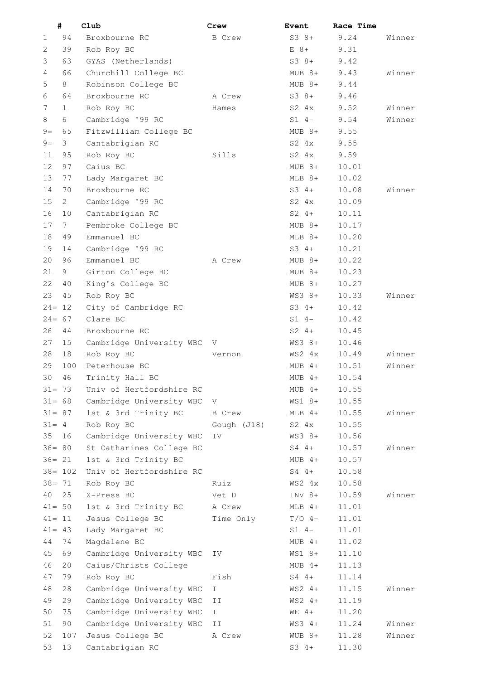|           | #          | Club                     | Crew          | <b>Event</b>  | Race Time |        |
|-----------|------------|--------------------------|---------------|---------------|-----------|--------|
| 1         | 94         | Broxbourne RC            | <b>B</b> Crew | $S38+$        | 9.24      | Winner |
| 2         | 39         | Rob Roy BC               |               | $E$ 8+        | 9.31      |        |
| 3         | 63         | GYAS (Netherlands)       |               | $S3 8+$       | 9.42      |        |
| 4         | 66         | Churchill College BC     |               | $MUB 8+$      | 9.43      | Winner |
| 5         | 8          | Robinson College BC      |               | $MUB 8+$      | 9.44      |        |
| 6         | 64         | Broxbourne RC            | A Crew        | $S3 8+$       | 9.46      |        |
| 7         | 1          | Rob Roy BC               | Hames         | $S2 \quad 4x$ | 9.52      | Winner |
| 8         | 6          | Cambridge '99 RC         |               | $S1 4-$       | 9.54      | Winner |
| $9=$      | 65         | Fitzwilliam College BC   |               | $MUB 8+$      | 9.55      |        |
| $9=$      | 3          | Cantabrigian RC          |               | $S2 \quad 4x$ | 9.55      |        |
| 11        | 95         | Rob Roy BC               | Sills         | $S2 \quad 4x$ | 9.59      |        |
| 12        | 97         | Caius BC                 |               | $MUB 8+$      | 10.01     |        |
| 13        | 77         | Lady Margaret BC         |               | $MLB$ $8+$    | 10.02     |        |
| 14        | 70         | Broxbourne RC            |               | $S3 \t4+$     | 10.08     | Winner |
| 15        |            |                          |               | $S2 \quad 4x$ | 10.09     |        |
|           | 2          | Cambridge '99 RC         |               | $S2 \quad 4+$ |           |        |
| 16        | 10         | Cantabrigian RC          |               |               | 10.11     |        |
| 17        | 7          | Pembroke College BC      |               | $MUB 8+$      | 10.17     |        |
| 18        | 49         | Emmanuel BC              |               | $MLB$ $8+$    | 10.20     |        |
| 19        | 14         | Cambridge '99 RC         |               | $S3 4+$       | 10.21     |        |
| 20        | 96         | Emmanuel BC              | A Crew        | $MUB 8+$      | 10.22     |        |
| 21        | 9          | Girton College BC        |               | $MUB 8+$      | 10.23     |        |
| 22        | 40         | King's College BC        |               | $MUB 8+$      | 10.27     |        |
| 23        | 45         | Rob Roy BC               |               | $WS3 8+$      | 10.33     | Winner |
| $24=$     | 12         | City of Cambridge RC     |               | $S3 \t4+$     | 10.42     |        |
| $24 = 67$ |            | Clare BC                 |               | $S1 4-$       | 10.42     |        |
| 26        | 44         | Broxbourne RC            |               | $S2 \t 4+$    | 10.45     |        |
| 27        | 15         | Cambridge University WBC | V             | $WS3 8+$      | 10.46     |        |
| 28        | 18         | Rob Roy BC               | Vernon        | WS2 4x        | 10.49     | Winner |
| 29        | 100        | Peterhouse BC            |               | $MUB$ 4+      | 10.51     | Winner |
| 30        | 46         | Trinity Hall BC          |               | $MUB$ 4+      | 10.54     |        |
| $31 = 73$ |            | Univ of Hertfordshire RC |               | $MUB$ 4+      | 10.55     |        |
| $31 = 68$ |            | Cambridge University WBC | V             | WS1 8+        | 10.55     |        |
| $31 = 87$ |            | 1st & 3rd Trinity BC     | <b>B</b> Crew | $MLB$ 4+      | 10.55     | Winner |
| $31 = 4$  |            | Rob Roy BC               | Gough (J18)   | $S2 \quad 4x$ | 10.55     |        |
| 35        | 16         | Cambridge University WBC | ΙV            | WS3 8+        | 10.56     |        |
| $36 = 80$ |            | St Catharines College BC |               | $S4$ 4+       | 10.57     | Winner |
| $36 = 21$ |            | 1st & 3rd Trinity BC     |               | $MUB$ 4+      | 10.57     |        |
|           | $38 = 102$ | Univ of Hertfordshire RC |               | $S4$ 4+       | 10.58     |        |
| $38 = 71$ |            | Rob Roy BC               | Ruiz          | WS2 4x        | 10.58     |        |
| 40        | 25         | X-Press BC               | Vet D         | $INV 8+$      | 10.59     | Winner |
| $41 = 50$ |            | 1st & 3rd Trinity BC     | A Crew        | $MLB$ 4+      | 11.01     |        |
| $41 = 11$ |            | Jesus College BC         | Time Only     | $T/O$ 4-      | 11.01     |        |
|           |            |                          |               |               |           |        |
| $41 = 43$ |            | Lady Margaret BC         |               | $S1 4-$       | 11.01     |        |
| 44        | 74         | Magdalene BC             |               | $MUB$ 4+      | 11.02     |        |
| 45        | 69         | Cambridge University WBC | IV            | WS1 8+        | 11.10     |        |
| 46        | 20         | Caius/Christs College    |               | $MUB$ 4+      | 11.13     |        |
| 47        | 79         | Rob Roy BC               | Fish          | $S4$ 4+       | 11.14     |        |
| 48        | 28         | Cambridge University WBC | $\mathbf{I}$  | $WS2 4+$      | 11.15     | Winner |
| 49        | 29         | Cambridge University WBC | II            | $WS2 4+$      | 11.19     |        |
| 50        | 75         | Cambridge University WBC | $\mathbbm{1}$ | $WE$ 4+       | 11.20     |        |
| 51        | 90         | Cambridge University WBC | ΙI            | $WS3$ 4+      | 11.24     | Winner |
| 52        | 107        | Jesus College BC         | A Crew        | $WUB 8+$      | 11.28     | Winner |
| 53        | 13         | Cantabrigian RC          |               | $S3 4+$       | 11.30     |        |